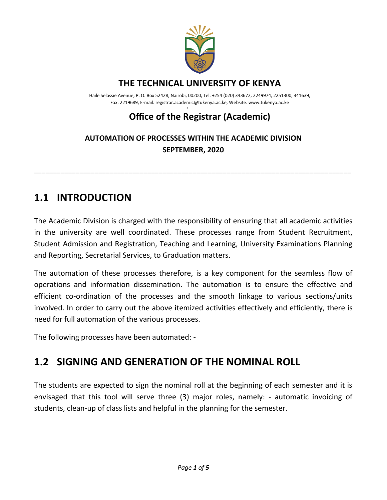

#### **THE TECHNICAL UNIVERSITY OF KENYA**

Haile Selassie Avenue, P. O. Box 52428, Nairobi, 00200, Tel: +254 (020) 343672, 2249974, 2251300, 341639, Fax: 2219689, E-mail: registrar.academic@tukenya.ac.ke, Website[: www.tukenya.ac.ke](http://www.tukenya.ac.ke/)

# **Office of the Registrar (Academic)**

#### **AUTOMATION OF PROCESSES WITHIN THE ACADEMIC DIVISION SEPTEMBER, 2020**

**\_\_\_\_\_\_\_\_\_\_\_\_\_\_\_\_\_\_\_\_\_\_\_\_\_\_\_\_\_\_\_\_\_\_\_\_\_\_\_\_\_\_\_\_\_\_\_\_\_\_\_\_\_\_\_\_\_\_\_\_\_\_\_\_\_\_\_\_\_\_\_\_\_\_\_\_\_\_\_\_\_\_\_\_**

1

## **1.1 INTRODUCTION**

The Academic Division is charged with the responsibility of ensuring that all academic activities in the university are well coordinated. These processes range from Student Recruitment, Student Admission and Registration, Teaching and Learning, University Examinations Planning and Reporting, Secretarial Services, to Graduation matters.

The automation of these processes therefore, is a key component for the seamless flow of operations and information dissemination. The automation is to ensure the effective and efficient co-ordination of the processes and the smooth linkage to various sections/units involved. In order to carry out the above itemized activities effectively and efficiently, there is need for full automation of the various processes.

The following processes have been automated: -

# **1.2 SIGNING AND GENERATION OF THE NOMINAL ROLL**

The students are expected to sign the nominal roll at the beginning of each semester and it is envisaged that this tool will serve three (3) major roles, namely: - automatic invoicing of students, clean-up of class lists and helpful in the planning for the semester.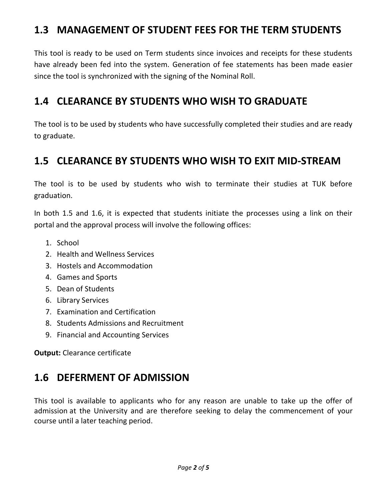## **1.3 MANAGEMENT OF STUDENT FEES FOR THE TERM STUDENTS**

This tool is ready to be used on Term students since invoices and receipts for these students have already been fed into the system. Generation of fee statements has been made easier since the tool is synchronized with the signing of the Nominal Roll.

## **1.4 CLEARANCE BY STUDENTS WHO WISH TO GRADUATE**

The tool is to be used by students who have successfully completed their studies and are ready to graduate.

#### **1.5 CLEARANCE BY STUDENTS WHO WISH TO EXIT MID-STREAM**

The tool is to be used by students who wish to terminate their studies at TUK before graduation.

In both 1.5 and 1.6, it is expected that students initiate the processes using a link on their portal and the approval process will involve the following offices:

- 1. School
- 2. Health and Wellness Services
- 3. Hostels and Accommodation
- 4. Games and Sports
- 5. Dean of Students
- 6. Library Services
- 7. Examination and Certification
- 8. Students Admissions and Recruitment
- 9. Financial and Accounting Services

**Output:** Clearance certificate

## **1.6 DEFERMENT OF ADMISSION**

This tool is available to applicants who for any reason are unable to take up the offer of admission at the University and are therefore seeking to delay the commencement of your course until a later teaching period.